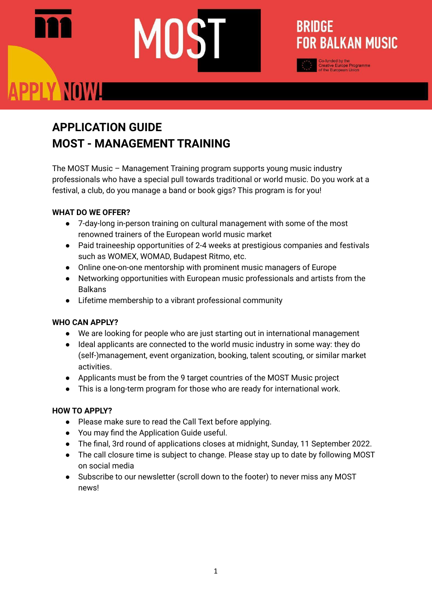# PPLY NOWA

### **APPLICATION GUIDE MOST - MANAGEMENT TRAINING**

The MOST Music – Management Training program supports young music industry professionals who have a special pull towards traditional or world music. Do you work at a festival, a club, do you manage a band or book gigs? This program is for you!

**BRIDGE** 

**FOR BALKAN MUSIC** 

#### **WHAT DO WE OFFER?**

- 7-day-long in-person training on cultural management with some of the most renowned trainers of the European world music market
- Paid traineeship opportunities of 2-4 weeks at prestigious companies and festivals such as WOMEX, WOMAD, Budapest Ritmo, etc.
- Online one-on-one mentorship with prominent music managers of Europe
- Networking opportunities with European music professionals and artists from the Balkans
- Lifetime membership to a vibrant professional community

#### **WHO CAN APPLY?**

- We are looking for people who are just starting out in international management
- Ideal applicants are connected to the world music industry in some way: they do (self-)management, event organization, booking, talent scouting, or similar market activities.
- Applicants must be from the 9 target countries of the MOST Music project
- This is a long-term program for those who are ready for international work.

#### **HOW TO APPLY?**

- Please make sure to read the Call Text before applying.
- You may find the Application Guide useful.
- The final, 3rd round of applications closes at midnight, Sunday, 11 September 2022.
- The call closure time is subject to change. Please stay up to date by following MOST on social media
- Subscribe to our newsletter (scroll down to the footer) to never miss any MOST news!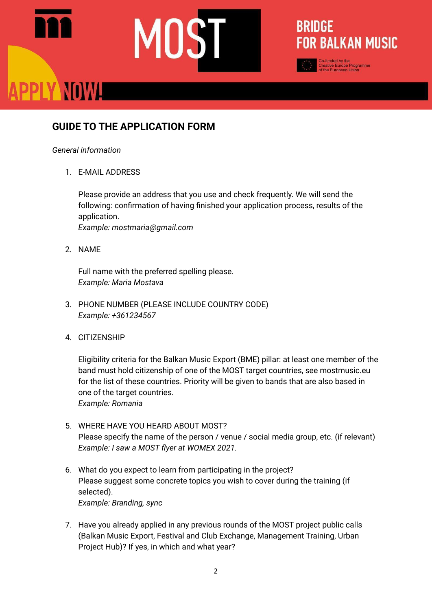## PPLY NOWL

#### **GUIDE TO THE APPLICATION FORM**

#### *General information*

1. E-MAIL ADDRESS

Please provide an address that you use and check frequently. We will send the following: confirmation of having finished your application process, results of the application. *Example: mostmaria@gmail.com*

**BRIDGE** 

**FOR BALKAN MUSIC** 

2. NAME

Full name with the preferred spelling please. *Example: Maria Mostava*

- 3. PHONE NUMBER (PLEASE INCLUDE COUNTRY CODE) *Example: +361234567*
- 4. CITIZENSHIP

Eligibility criteria for the Balkan Music Export (BME) pillar: at least one member of the band must hold citizenship of one of the MOST target countries, see mostmusic.eu for the list of these countries. Priority will be given to bands that are also based in one of the target countries. *Example: Romania*

- 5. WHERE HAVE YOU HEARD ABOUT MOST? Please specify the name of the person / venue / social media group, etc. (if relevant) *Example: I saw a MOST flyer at WOMEX 2021.*
- 6. What do you expect to learn from participating in the project? Please suggest some concrete topics you wish to cover during the training (if selected). *Example: Branding, sync*
- 7. Have you already applied in any previous rounds of the MOST project public calls (Balkan Music Export, Festival and Club Exchange, Management Training, Urban Project Hub)? If yes, in which and what year?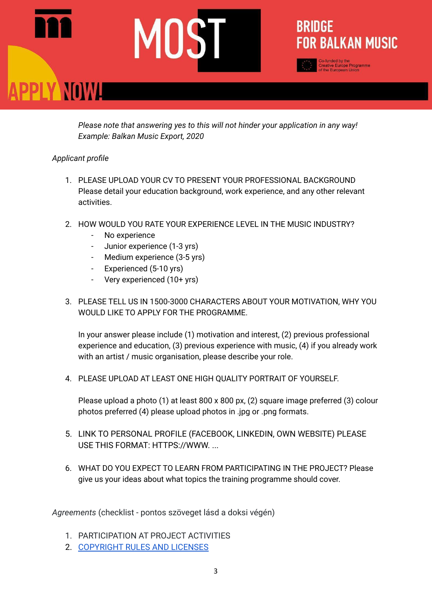# PPLY NOWL

*Please note that answering yes to this will not hinder your application in any way! Example: Balkan Music Export, 2020*

**BRIDGE** 

**FOR BALKAN MUSIC** 

#### *Applicant profile*

- 1. PLEASE UPLOAD YOUR CV TO PRESENT YOUR PROFESSIONAL BACKGROUND Please detail your education background, work experience, and any other relevant activities.
- 2. HOW WOULD YOU RATE YOUR EXPERIENCE LEVEL IN THE MUSIC INDUSTRY?
	- No experience
	- Junior experience (1-3 yrs)
	- Medium experience (3-5 yrs)
	- Experienced (5-10 yrs)
	- Very experienced (10+ yrs)
- 3. PLEASE TELL US IN 1500-3000 CHARACTERS ABOUT YOUR MOTIVATION, WHY YOU WOULD LIKE TO APPLY FOR THE PROGRAMME.

In your answer please include (1) motivation and interest, (2) previous professional experience and education, (3) previous experience with music, (4) if you already work with an artist / music organisation, please describe your role.

4. PLEASE UPLOAD AT LEAST ONE HIGH QUALITY PORTRAIT OF YOURSELF.

Please upload a photo (1) at least 800 x 800 px, (2) square image preferred (3) colour photos preferred (4) please upload photos in .jpg or .png formats.

- 5. LINK TO PERSONAL PROFILE (FACEBOOK, LINKEDIN, OWN WEBSITE) PLEASE USE THIS FORMAT: HTTPS://WWW. ...
- 6. WHAT DO YOU EXPECT TO LEARN FROM PARTICIPATING IN THE PROJECT? Please give us your ideas about what topics the training programme should cover.

*Agreements* (checklist - pontos szöveget lásd a doksi végén)

- 1. PARTICIPATION AT PROJECT ACTIVITIES
- 2. [COPYRIGHT](https://mostmusic.eu/copyright-rules-licenses-most/) RULES AND LICENSES